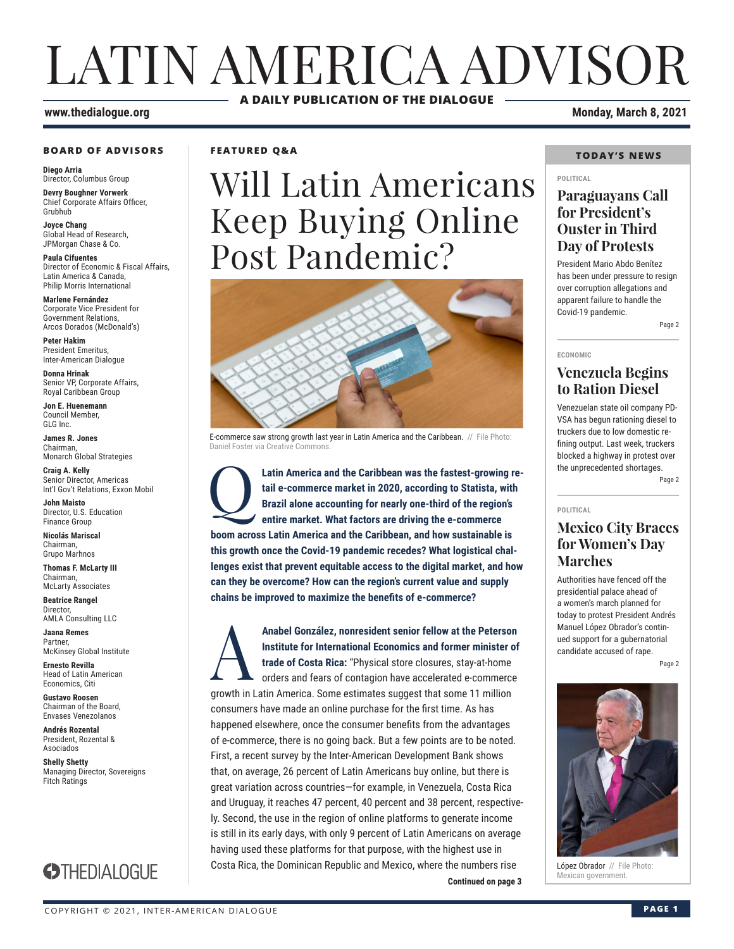# LATIN AMERICA ADVISOR **A DAILY PUBLICATION OF THE DIALOGUE**

#### **www.thedialogue.org Monday, March 8, 2021**

#### **BOARD OF ADVISORS**

**Diego Arria** Director, Columbus Group

**Devry Boughner Vorwerk** Chief Corporate Affairs Officer, Grubhub

**Joyce Chang** Global Head of Research, JPMorgan Chase & Co.

**Paula Cifuentes** Director of Economic & Fiscal Affairs, Latin America & Canada, Philip Morris International

**Marlene Fernández** Corporate Vice President for Government Relations, Arcos Dorados (McDonald's)

**Peter Hakim** President Emeritus, Inter-American Dialogue

**Donna Hrinak** Senior VP, Corporate Affairs, Royal Caribbean Group

**Jon E. Huenemann** Council Member, GLG Inc.

**James R. Jones** Chairman, Monarch Global Strategies

**Craig A. Kelly** Senior Director, Americas Int'l Gov't Relations, Exxon Mobil

**John Maisto** Director, U.S. Education Finance Group

**Nicolás Mariscal** Chairman, Grupo Marhnos

**Thomas F. McLarty III** Chairman, McLarty Associates

**Beatrice Rangel Director** AMLA Consulting LLC

**Jaana Remes** Partner, McKinsey Global Institute

**Ernesto Revilla**  Head of Latin American Economics, Citi

**Gustavo Roosen** Chairman of the Board, Envases Venezolanos

**Andrés Rozental**  President, Rozental & Asociados

**Shelly Shetty** Managing Director, Sovereigns Fitch Ratings



**FEATURED Q&A**

# Will Latin Americans Keep Buying Online Post Pandemic?



E-commerce saw strong growth last year in Latin America and the Caribbean. // File Photo: Daniel Foster via Creative Commons.

Latin America and the Caribbean was the fastest-growing retail e-commerce market in 2020, according to Statista, with Brazil alone accounting for nearly one-third of the region's entire market. What factors are driving the **tail e-commerce market in 2020, according to Statista, with Brazil alone accounting for nearly one-third of the region's entire market. What factors are driving the e-commerce boom across Latin America and the Caribbean, and how sustainable is this growth once the Covid-19 pandemic recedes? What logistical challenges exist that prevent equitable access to the digital market, and how can they be overcome? How can the region's current value and supply chains be improved to maximize the benefits of e-commerce?**

**Continued on page 3** Anabel González, nonresident senior fellow at the Peterson<br>Institute for International Economics and former minister of<br>trade of Costa Rica: "Physical store closures, stay-at-home<br>orders and fears of contagion have acceler **Institute for International Economics and former minister of trade of Costa Rica:** "Physical store closures, stay-at-home orders and fears of contagion have accelerated e-commerce growth in Latin America. Some estimates suggest that some 11 million consumers have made an online purchase for the first time. As has happened elsewhere, once the consumer benefits from the advantages of e-commerce, there is no going back. But a few points are to be noted. First, a recent survey by the Inter-American Development Bank shows that, on average, 26 percent of Latin Americans buy online, but there is great variation across countries—for example, in Venezuela, Costa Rica and Uruguay, it reaches 47 percent, 40 percent and 38 percent, respectively. Second, the use in the region of online platforms to generate income is still in its early days, with only 9 percent of Latin Americans on average having used these platforms for that purpose, with the highest use in Costa Rica, the Dominican Republic and Mexico, where the numbers rise

#### **TODAY'S NEWS**

#### **POLITICAL**

### **Paraguayans Call for President's Ouster in Third Day of Protests**

President Mario Abdo Benítez has been under pressure to resign over corruption allegations and apparent failure to handle the Covid-19 pandemic.

Page 2

### **ECONOMIC**

**POLITICAL**

### **Venezuela Begins to Ration Diesel**

Venezuelan state oil company PD-VSA has begun rationing diesel to truckers due to low domestic refining output. Last week, truckers blocked a highway in protest over the unprecedented shortages. Page 2

### **Mexico City Braces for Women's Day Marches**

Authorities have fenced off the presidential palace ahead of a women's march planned for today to protest President Andrés Manuel López Obrador's continued support for a gubernatorial candidate accused of rape.

Page 2



López Obrador // File Photo:<br>Mexican government.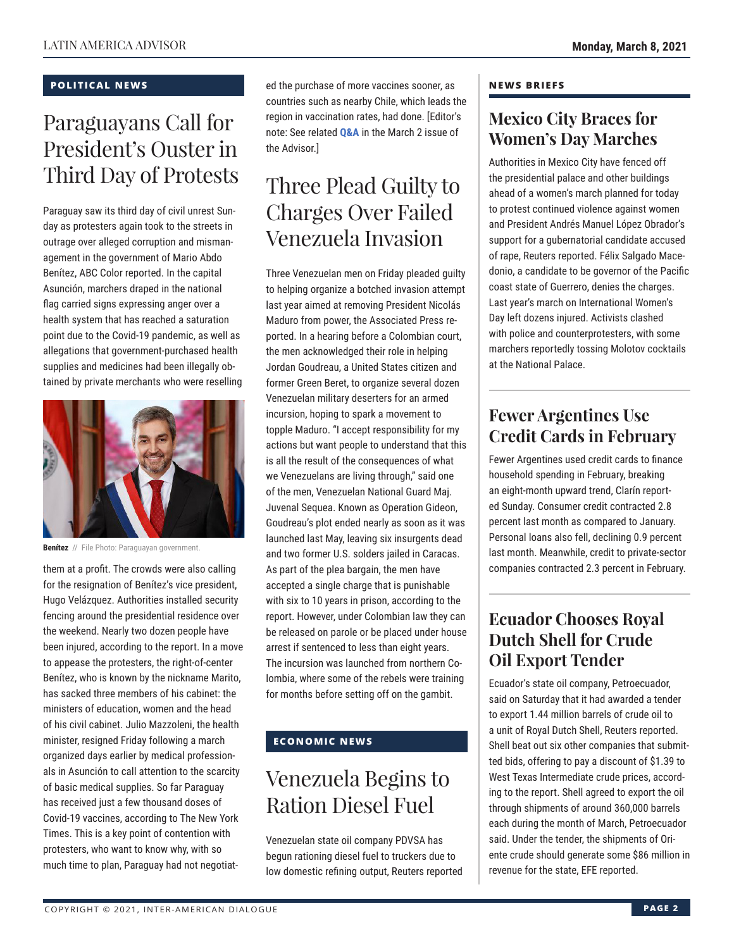#### **POLITICAL NEWS**

# Paraguayans Call for President's Ouster in Third Day of Protests

Paraguay saw its third day of civil unrest Sunday as protesters again took to the streets in outrage over alleged corruption and mismanagement in the government of Mario Abdo Benítez, ABC Color reported. In the capital Asunción, marchers draped in the national flag carried signs expressing anger over a health system that has reached a saturation point due to the Covid-19 pandemic, as well as allegations that government-purchased health supplies and medicines had been illegally obtained by private merchants who were reselling



**Benítez** // File Photo: Paraguayan government.

them at a profit. The crowds were also calling for the resignation of Benítez's vice president, Hugo Velázquez. Authorities installed security fencing around the presidential residence over the weekend. Nearly two dozen people have been injured, according to the report. In a move to appease the protesters, the right-of-center Benítez, who is known by the nickname Marito, has sacked three members of his cabinet: the ministers of education, women and the head of his civil cabinet. Julio Mazzoleni, the health minister, resigned Friday following a march organized days earlier by medical professionals in Asunción to call attention to the scarcity of basic medical supplies. So far Paraguay has received just a few thousand doses of Covid-19 vaccines, according to The New York Times. This is a key point of contention with protesters, who want to know why, with so much time to plan, Paraguay had not negotiated the purchase of more vaccines sooner, as countries such as nearby Chile, which leads the region in vaccination rates, had done. [Editor's note: See related **[Q&A](https://www.thedialogue.org/wp-content/uploads/2021/03/LAA210302.pdf)** in the March 2 issue of the Advisor.]

## Three Plead Guilty to Charges Over Failed Venezuela Invasion

Three Venezuelan men on Friday pleaded guilty to helping organize a botched invasion attempt last year aimed at removing President Nicolás Maduro from power, the Associated Press reported. In a hearing before a Colombian court, the men acknowledged their role in helping Jordan Goudreau, a United States citizen and former Green Beret, to organize several dozen Venezuelan military deserters for an armed incursion, hoping to spark a movement to topple Maduro. "I accept responsibility for my actions but want people to understand that this is all the result of the consequences of what we Venezuelans are living through," said one of the men, Venezuelan National Guard Maj. Juvenal Sequea. Known as Operation Gideon, Goudreau's plot ended nearly as soon as it was launched last May, leaving six insurgents dead and two former U.S. solders jailed in Caracas. As part of the plea bargain, the men have accepted a single charge that is punishable with six to 10 years in prison, according to the report. However, under Colombian law they can be released on parole or be placed under house arrest if sentenced to less than eight years. The incursion was launched from northern Colombia, where some of the rebels were training for months before setting off on the gambit.

### **ECONOMIC NEWS**

# Venezuela Begins to Ration Diesel Fuel

Venezuelan state oil company PDVSA has begun rationing diesel fuel to truckers due to low domestic refining output, Reuters reported

#### **NEWS BRIEFS**

### **Mexico City Braces for Women's Day Marches**

Authorities in Mexico City have fenced off the presidential palace and other buildings ahead of a women's march planned for today to protest continued violence against women and President Andrés Manuel López Obrador's support for a gubernatorial candidate accused of rape, Reuters reported. Félix Salgado Macedonio, a candidate to be governor of the Pacific coast state of Guerrero, denies the charges. Last year's march on International Women's Day left dozens injured. Activists clashed with police and counterprotesters, with some marchers reportedly tossing Molotov cocktails at the National Palace.

### **Fewer Argentines Use Credit Cards in February**

Fewer Argentines used credit cards to finance household spending in February, breaking an eight-month upward trend, Clarín reported Sunday. Consumer credit contracted 2.8 percent last month as compared to January. Personal loans also fell, declining 0.9 percent last month. Meanwhile, credit to private-sector companies contracted 2.3 percent in February.

### **Ecuador Chooses Royal Dutch Shell for Crude Oil Export Tender**

Ecuador's state oil company, Petroecuador, said on Saturday that it had awarded a tender to export 1.44 million barrels of crude oil to a unit of Royal Dutch Shell, Reuters reported. Shell beat out six other companies that submitted bids, offering to pay a discount of \$1.39 to West Texas Intermediate crude prices, according to the report. Shell agreed to export the oil through shipments of around 360,000 barrels each during the month of March, Petroecuador said. Under the tender, the shipments of Oriente crude should generate some \$86 million in revenue for the state, EFE reported.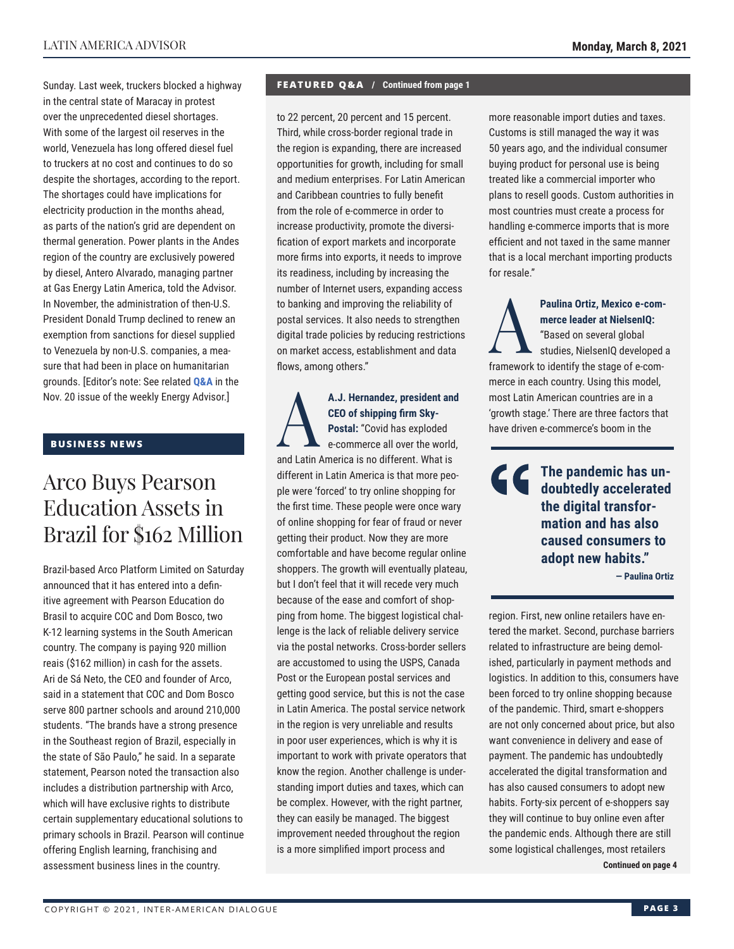Sunday. Last week, truckers blocked a highway in the central state of Maracay in protest over the unprecedented diesel shortages. With some of the largest oil reserves in the world, Venezuela has long offered diesel fuel to truckers at no cost and continues to do so despite the shortages, according to the report. The shortages could have implications for electricity production in the months ahead, as parts of the nation's grid are dependent on thermal generation. Power plants in the Andes region of the country are exclusively powered by diesel, Antero Alvarado, managing partner at Gas Energy Latin America, told the Advisor. In November, the administration of then-U.S. President Donald Trump declined to renew an exemption from sanctions for diesel supplied to Venezuela by non-U.S. companies, a measure that had been in place on humanitarian grounds. [Editor's note: See related **[Q&A](http://www.thedialogue.org/wp-content/uploads/2020/11/LEA201120.pdf)** in the Nov. 20 issue of the weekly Energy Advisor.]

#### **BUSINESS NEWS**

## Arco Buys Pearson Education Assets in Brazil for \$162 Million

Brazil-based Arco Platform Limited on Saturday announced that it has entered into a definitive agreement with Pearson Education do Brasil to acquire COC and Dom Bosco, two K-12 learning systems in the South American country. The company is paying 920 million reais (\$162 million) in cash for the assets. Ari de Sá Neto, the CEO and founder of Arco, said in a statement that COC and Dom Bosco serve 800 partner schools and around 210,000 students. "The brands have a strong presence in the Southeast region of Brazil, especially in the state of São Paulo," he said. In a separate statement, Pearson noted the transaction also includes a distribution partnership with Arco, which will have exclusive rights to distribute certain supplementary educational solutions to primary schools in Brazil. Pearson will continue offering English learning, franchising and assessment business lines in the country.

#### **FEATURED Q&A / Continued from page 1**

to 22 percent, 20 percent and 15 percent. Third, while cross-border regional trade in the region is expanding, there are increased opportunities for growth, including for small and medium enterprises. For Latin American and Caribbean countries to fully benefit from the role of e-commerce in order to increase productivity, promote the diversification of export markets and incorporate more firms into exports, it needs to improve its readiness, including by increasing the number of Internet users, expanding access to banking and improving the reliability of postal services. It also needs to strengthen digital trade policies by reducing restrictions on market access, establishment and data flows, among others."

A.J. Hernandez, president and<br>CEO of shipping firm Sky-<br>Postal: "Covid has exploded<br>e-commerce all over the world, **CEO of shipping firm Sky-Postal:** "Covid has exploded e-commerce all over the world, and Latin America is no different. What is different in Latin America is that more people were 'forced' to try online shopping for the first time. These people were once wary of online shopping for fear of fraud or never getting their product. Now they are more comfortable and have become regular online shoppers. The growth will eventually plateau, but I don't feel that it will recede very much because of the ease and comfort of shopping from home. The biggest logistical challenge is the lack of reliable delivery service via the postal networks. Cross-border sellers are accustomed to using the USPS, Canada Post or the European postal services and getting good service, but this is not the case in Latin America. The postal service network in the region is very unreliable and results in poor user experiences, which is why it is important to work with private operators that know the region. Another challenge is understanding import duties and taxes, which can be complex. However, with the right partner, they can easily be managed. The biggest improvement needed throughout the region is a more simplified import process and

more reasonable import duties and taxes. Customs is still managed the way it was 50 years ago, and the individual consumer buying product for personal use is being treated like a commercial importer who plans to resell goods. Custom authorities in most countries must create a process for handling e-commerce imports that is more efficient and not taxed in the same manner that is a local merchant importing products for resale."

Paulina Ortiz, Mexico e-com-<br>
merce leader at NielsenlQ:<br>
"Based on several global<br>
studies, NielsenlQ developed<br>
framework to identify the stage of a sem **merce leader at NielsenIQ:** "Based on several global studies, NielsenIQ developed a framework to identify the stage of e-commerce in each country. Using this model, most Latin American countries are in a 'growth stage.' There are three factors that have driven e-commerce's boom in the

**The pandemic has undoubtedly accelerated the digital transformation and has also caused consumers to adopt new habits."**

**— Paulina Ortiz**

region. First, new online retailers have entered the market. Second, purchase barriers related to infrastructure are being demolished, particularly in payment methods and logistics. In addition to this, consumers have been forced to try online shopping because of the pandemic. Third, smart e-shoppers are not only concerned about price, but also want convenience in delivery and ease of payment. The pandemic has undoubtedly accelerated the digital transformation and has also caused consumers to adopt new habits. Forty-six percent of e-shoppers say they will continue to buy online even after the pandemic ends. Although there are still some logistical challenges, most retailers

**Continued on page 4**